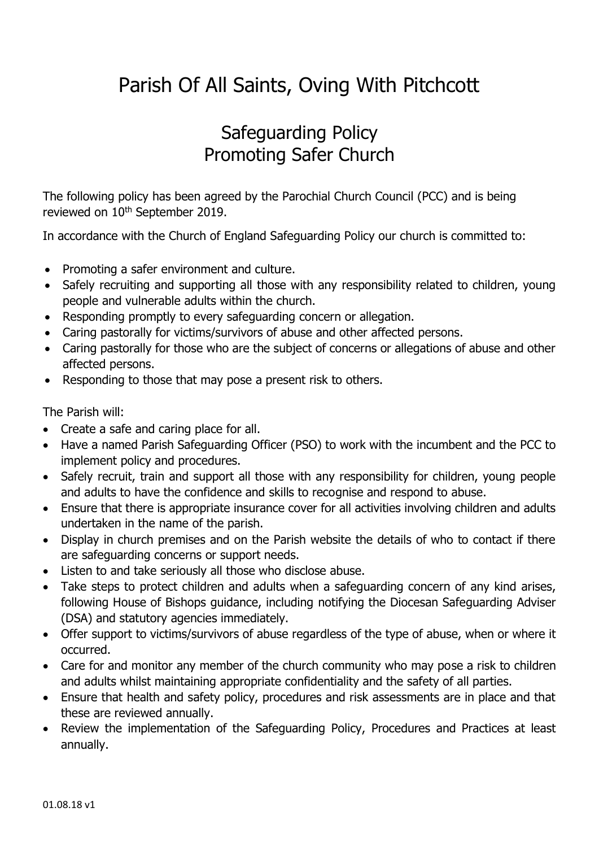## Parish Of All Saints, Oving With Pitchcott

## Safeguarding Policy Promoting Safer Church

The following policy has been agreed by the Parochial Church Council (PCC) and is being reviewed on 10<sup>th</sup> September 2019.

In accordance with the Church of England Safeguarding Policy our church is committed to:

- Promoting a safer environment and culture.
- Safely recruiting and supporting all those with any responsibility related to children, young people and vulnerable adults within the church.
- Responding promptly to every safeguarding concern or allegation.
- Caring pastorally for victims/survivors of abuse and other affected persons.
- Caring pastorally for those who are the subject of concerns or allegations of abuse and other affected persons.
- Responding to those that may pose a present risk to others.

The Parish will:

- Create a safe and caring place for all.
- Have a named Parish Safeguarding Officer (PSO) to work with the incumbent and the PCC to implement policy and procedures.
- Safely recruit, train and support all those with any responsibility for children, young people and adults to have the confidence and skills to recognise and respond to abuse.
- Ensure that there is appropriate insurance cover for all activities involving children and adults undertaken in the name of the parish.
- Display in church premises and on the Parish website the details of who to contact if there are safeguarding concerns or support needs.
- Listen to and take seriously all those who disclose abuse.
- Take steps to protect children and adults when a safeguarding concern of any kind arises, following House of Bishops guidance, including notifying the Diocesan Safeguarding Adviser (DSA) and statutory agencies immediately.
- Offer support to victims/survivors of abuse regardless of the type of abuse, when or where it occurred.
- Care for and monitor any member of the church community who may pose a risk to children and adults whilst maintaining appropriate confidentiality and the safety of all parties.
- Ensure that health and safety policy, procedures and risk assessments are in place and that these are reviewed annually.
- Review the implementation of the Safeguarding Policy, Procedures and Practices at least annually.